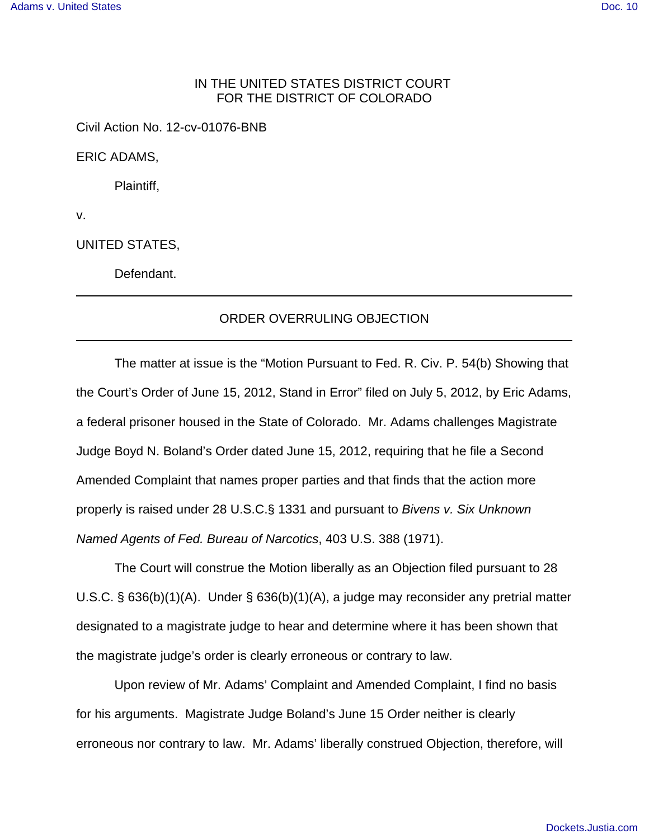## IN THE UNITED STATES DISTRICT COURT FOR THE DISTRICT OF COLORADO

Civil Action No. 12-cv-01076-BNB

ERIC ADAMS,

Plaintiff,

v.

UNITED STATES,

Defendant.

## ORDER OVERRULING OBJECTION

The matter at issue is the "Motion Pursuant to Fed. R. Civ. P. 54(b) Showing that the Court's Order of June 15, 2012, Stand in Error" filed on July 5, 2012, by Eric Adams, a federal prisoner housed in the State of Colorado. Mr. Adams challenges Magistrate Judge Boyd N. Boland's Order dated June 15, 2012, requiring that he file a Second Amended Complaint that names proper parties and that finds that the action more properly is raised under 28 U.S.C.§ 1331 and pursuant to Bivens v. Six Unknown Named Agents of Fed. Bureau of Narcotics, 403 U.S. 388 (1971).

The Court will construe the Motion liberally as an Objection filed pursuant to 28 U.S.C. § 636(b)(1)(A). Under § 636(b)(1)(A), a judge may reconsider any pretrial matter designated to a magistrate judge to hear and determine where it has been shown that the magistrate judge's order is clearly erroneous or contrary to law.

Upon review of Mr. Adams' Complaint and Amended Complaint, I find no basis for his arguments. Magistrate Judge Boland's June 15 Order neither is clearly erroneous nor contrary to law. Mr. Adams' liberally construed Objection, therefore, will